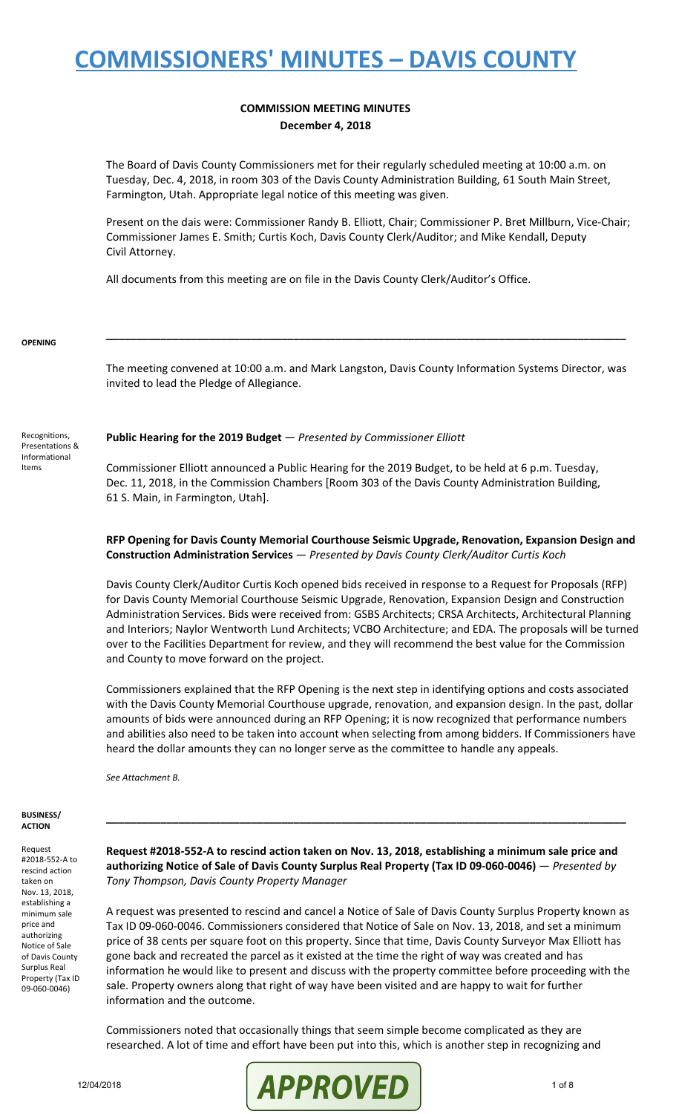#### **COMMISSION MEETING MINUTES December 4, 2018**

The Board of Davis County Commissioners met for their regularly scheduled meeting at 10:00 a.m. on Tuesday, Dec. 4, 2018, in room 303 of the Davis County Administration Building, 61 South Main Street, Farmington, Utah. Appropriate legal notice of this meeting was given.

Present on the dais were: Commissioner Randy B. Elliott, Chair; Commissioner P. Bret Millburn, Vice-Chair; Commissioner James E. Smith; Curtis Koch, Davis County Clerk/Auditor; and Mike Kendall, Deputy Civil Attorney.

All documents from this meeting are on file in the Davis County Clerk/Auditor's Office.

#### **OPENING**

Recognitions, Presentations & Informational Items

The meeting convened at 10:00 a.m. and Mark Langston, Davis County Information Systems Director, was invited to lead the Pledge of Allegiance.

**\_\_\_\_\_\_\_\_\_\_\_\_\_\_\_\_\_\_\_\_\_\_\_\_\_\_\_\_\_\_\_\_\_\_\_\_\_\_\_\_\_\_\_\_\_\_\_\_\_\_\_\_\_\_\_\_\_\_\_\_\_\_\_\_\_\_\_\_\_\_\_\_\_\_\_\_\_\_\_\_\_\_\_\_\_\_**

#### **Public Hearing for the 2019 Budget** — *Presented by Commissioner Elliott*

Commissioner Elliott announced a Public Hearing for the 2019 Budget, to be held at 6 p.m. Tuesday, Dec. 11, 2018, in the Commission Chambers [Room 303 of the Davis County Administration Building, 61 S. Main, in Farmington, Utah].

### **RFP Opening for Davis County Memorial Courthouse Seismic Upgrade, Renovation, Expansion Design and Construction Administration Services** — *Presented by Davis County Clerk/Auditor Curtis Koch*

Davis County Clerk/Auditor Curtis Koch opened bids received in response to a Request for Proposals (RFP) for Davis County Memorial Courthouse Seismic Upgrade, Renovation, Expansion Design and Construction Administration Services. Bids were received from: GSBS Architects; CRSA Architects, Architectural Planning and Interiors; Naylor Wentworth Lund Architects; VCBO Architecture; and EDA. The proposals will be turned over to the Facilities Department for review, and they will recommend the best value for the Commission and County to move forward on the project.

Commissioners explained that the RFP Opening is the next step in identifying options and costs associated with the Davis County Memorial Courthouse upgrade, renovation, and expansion design. In the past, dollar amounts of bids were announced during an RFP Opening; it is now recognized that performance numbers and abilities also need to be taken into account when selecting from among bidders. If Commissioners have heard the dollar amounts they can no longer serve as the committee to handle any appeals.

*See Attachment B.*

#### **BUSINESS/ ACTION**

Request #2018-552-A to rescind action taken on Nov. 13, 2018, establishing a minimum sale price and authorizing Notice of Sale of Davis County Surplus Real Property (Tax ID 09-060-0046)

**Request #2018-552-A to rescind action taken on Nov. 13, 2018, establishing a minimum sale price and authorizing Notice of Sale of Davis County Surplus Real Property (Tax ID 09-060-0046)** — *Presented by Tony Thompson, Davis County Property Manager*

**\_\_\_\_\_\_\_\_\_\_\_\_\_\_\_\_\_\_\_\_\_\_\_\_\_\_\_\_\_\_\_\_\_\_\_\_\_\_\_\_\_\_\_\_\_\_\_\_\_\_\_\_\_\_\_\_\_\_\_\_\_\_\_\_\_\_\_\_\_\_\_\_\_\_\_\_\_\_\_\_\_\_\_\_\_\_**

A request was presented to rescind and cancel a Notice of Sale of Davis County Surplus Property known as Tax ID 09-060-0046. Commissioners considered that Notice of Sale on Nov. 13, 2018, and set a minimum price of 38 cents per square foot on this property. Since that time, Davis County Surveyor Max Elliott has gone back and recreated the parcel as it existed at the time the right of way was created and has information he would like to present and discuss with the property committee before proceeding with the sale. Property owners along that right of way have been visited and are happy to wait for further information and the outcome.

Commissioners noted that occasionally things that seem simple become complicated as they are researched. A lot of time and effort have been put into this, which is another step in recognizing and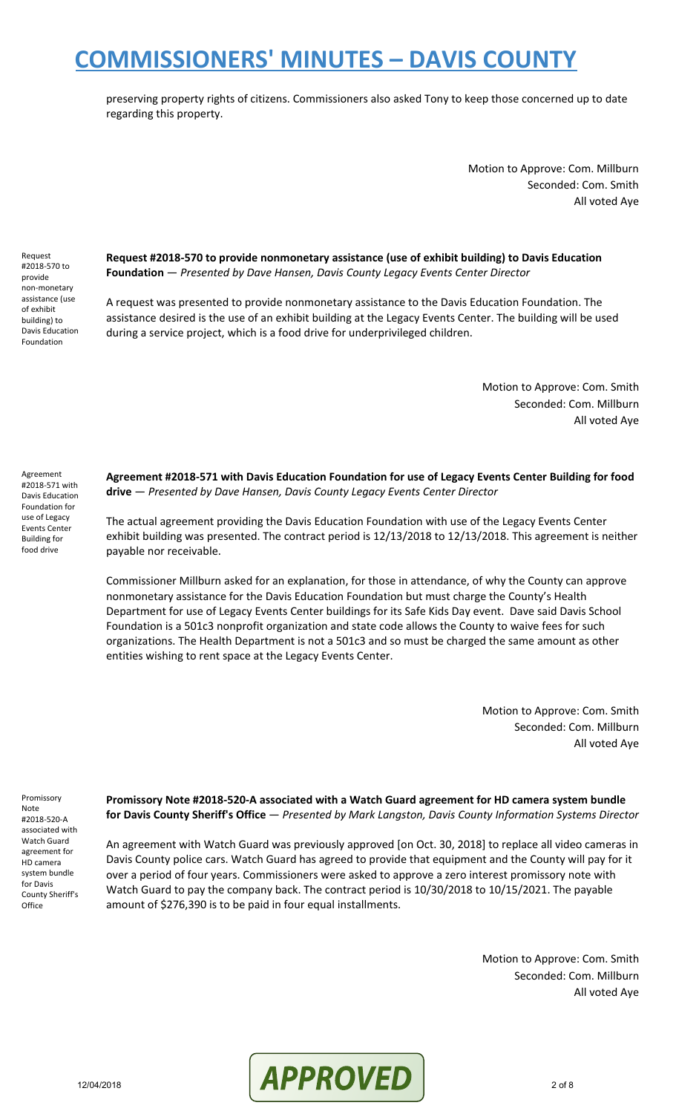preserving property rights of citizens. Commissioners also asked Tony to keep those concerned up to date regarding this property.

> Motion to Approve: Com. Millburn Seconded: Com. Smith All voted Aye

Request #2018-570 to provide non-monetary assistance (use of exhibit building) to Davis Education Foundation

**Request #2018-570 to provide nonmonetary assistance (use of exhibit building) to Davis Education Foundation** — *Presented by Dave Hansen, Davis County Legacy Events Center Director*

A request was presented to provide nonmonetary assistance to the Davis Education Foundation. The assistance desired is the use of an exhibit building at the Legacy Events Center. The building will be used during a service project, which is a food drive for underprivileged children.

> Motion to Approve: Com. Smith Seconded: Com. Millburn All voted Aye

Agreement #2018-571 with Davis Education Foundation for use of Legacy Events Center Building for food drive

**Agreement #2018-571 with Davis Education Foundation for use of Legacy Events Center Building for food drive** — *Presented by Dave Hansen, Davis County Legacy Events Center Director*

The actual agreement providing the Davis Education Foundation with use of the Legacy Events Center exhibit building was presented. The contract period is 12/13/2018 to 12/13/2018. This agreement is neither payable nor receivable.

Commissioner Millburn asked for an explanation, for those in attendance, of why the County can approve nonmonetary assistance for the Davis Education Foundation but must charge the County's Health Department for use of Legacy Events Center buildings for its Safe Kids Day event. Dave said Davis School Foundation is a 501c3 nonprofit organization and state code allows the County to waive fees for such organizations. The Health Department is not a 501c3 and so must be charged the same amount as other entities wishing to rent space at the Legacy Events Center.

> Motion to Approve: Com. Smith Seconded: Com. Millburn All voted Aye

Promissory Note #2018-520-A associated with Watch Guard agreement for HD camera system bundle for Davis County Sheriff's **Office** 

**Promissory Note #2018-520-A associated with a Watch Guard agreement for HD camera system bundle for Davis County Sheriff's Office** — *Presented by Mark Langston, Davis County Information Systems Director*

An agreement with Watch Guard was previously approved [on Oct. 30, 2018] to replace all video cameras in Davis County police cars. Watch Guard has agreed to provide that equipment and the County will pay for it over a period of four years. Commissioners were asked to approve a zero interest promissory note with Watch Guard to pay the company back. The contract period is 10/30/2018 to 10/15/2021. The payable amount of \$276,390 is to be paid in four equal installments.

> Motion to Approve: Com. Smith Seconded: Com. Millburn All voted Aye

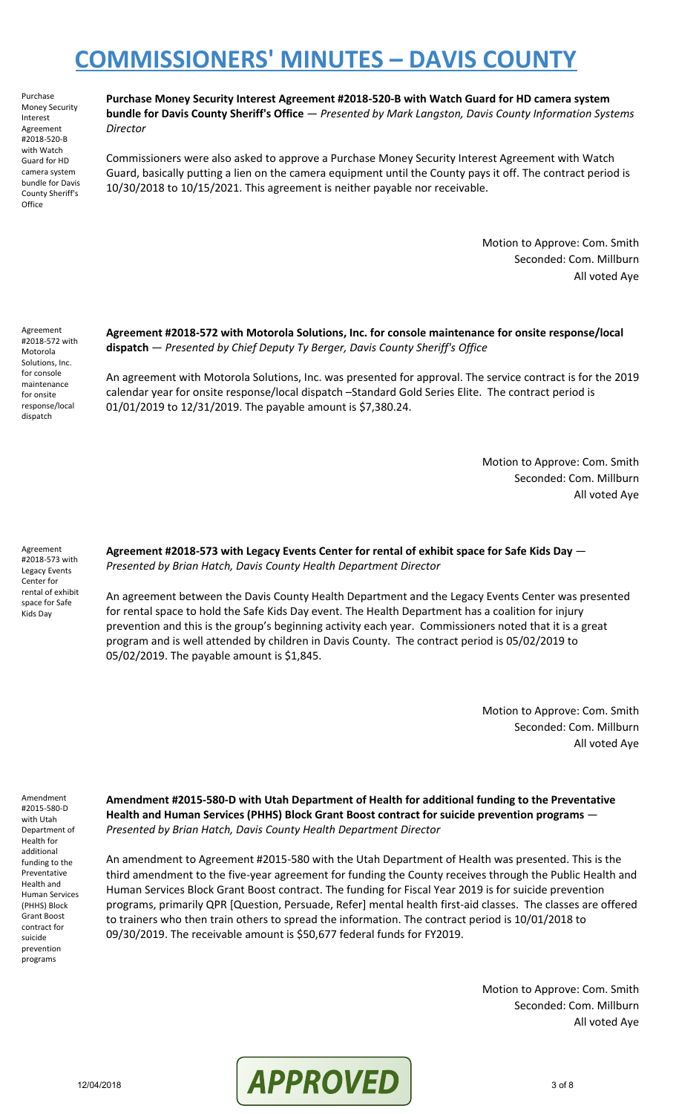Purchase Money Security Interest Agreement #2018-520-B with Watch Guard for HD camera system bundle for Davis County Sheriff's **Office** 

**Purchase Money Security Interest Agreement #2018-520-B with Watch Guard for HD camera system bundle for Davis County Sheriff's Office** — *Presented by Mark Langston, Davis County Information Systems Director*

Commissioners were also asked to approve a Purchase Money Security Interest Agreement with Watch Guard, basically putting a lien on the camera equipment until the County pays it off. The contract period is 10/30/2018 to 10/15/2021. This agreement is neither payable nor receivable.

> Motion to Approve: Com. Smith Seconded: Com. Millburn All voted Aye

Agreement #2018-572 with Motorola Solutions, Inc. for console maintenance for onsite response/local dispatch

**Agreement #2018-572 with Motorola Solutions, Inc. for console maintenance for onsite response/local dispatch** — *Presented by Chief Deputy Ty Berger, Davis County Sheriff's Office*

An agreement with Motorola Solutions, Inc. was presented for approval. The service contract is for the 2019 calendar year for onsite response/local dispatch –Standard Gold Series Elite. The contract period is 01/01/2019 to 12/31/2019. The payable amount is \$7,380.24.

> Motion to Approve: Com. Smith Seconded: Com. Millburn All voted Aye

Agreement #2018-573 with Legacy Events Center for rental of exhibit space for Safe Kids Day

**Agreement #2018-573 with Legacy Events Center for rental of exhibit space for Safe Kids Day** — *Presented by Brian Hatch, Davis County Health Department Director*

An agreement between the Davis County Health Department and the Legacy Events Center was presented for rental space to hold the Safe Kids Day event. The Health Department has a coalition for injury prevention and this is the group's beginning activity each year. Commissioners noted that it is a great program and is well attended by children in Davis County. The contract period is 05/02/2019 to 05/02/2019. The payable amount is \$1,845.

> Motion to Approve: Com. Smith Seconded: Com. Millburn All voted Aye

Amendment #2015-580-D with Utah Department of Health for additional funding to the Preventative Health and Human Services (PHHS) Block Grant Boost contract for suicide prevention programs

**Amendment #2015-580-D with Utah Department of Health for additional funding to the Preventative Health and Human Services (PHHS) Block Grant Boost contract for suicide prevention programs** — *Presented by Brian Hatch, Davis County Health Department Director*

An amendment to Agreement #2015-580 with the Utah Department of Health was presented. This is the third amendment to the five-year agreement for funding the County receives through the Public Health and Human Services Block Grant Boost contract. The funding for Fiscal Year 2019 is for suicide prevention programs, primarily QPR [Question, Persuade, Refer] mental health first-aid classes. The classes are offered to trainers who then train others to spread the information. The contract period is 10/01/2018 to 09/30/2019. The receivable amount is \$50,677 federal funds for FY2019.

> Motion to Approve: Com. Smith Seconded: Com. Millburn All voted Aye

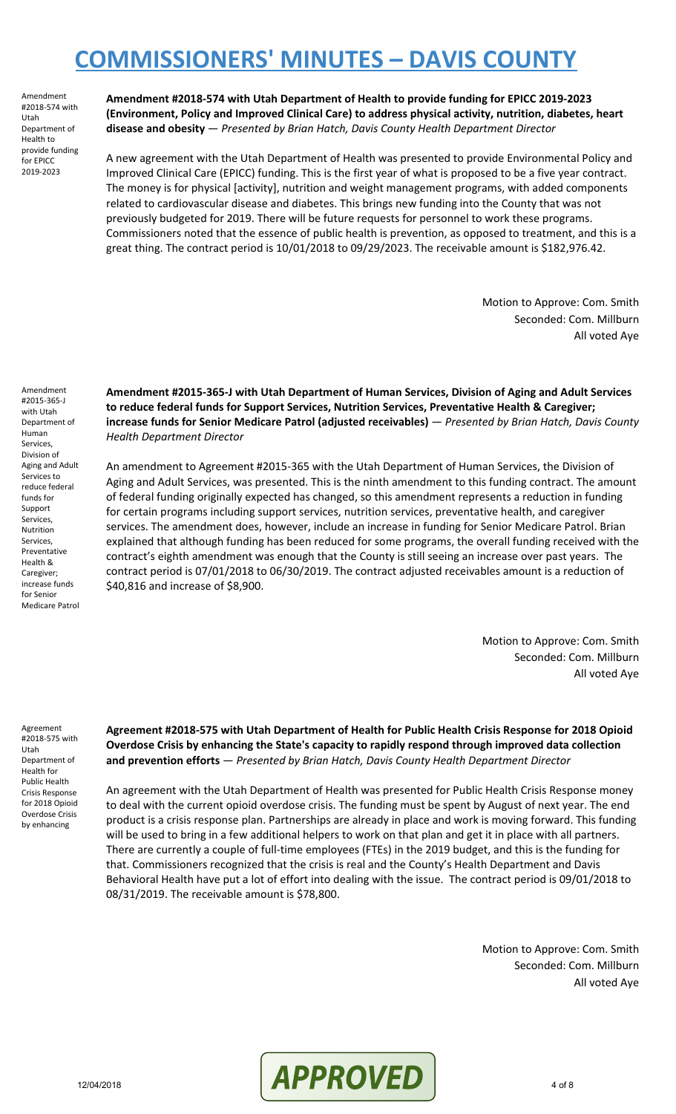Amendment #2018-574 with Utah Department of Health to provide funding for EPICC 2019-2023

**Amendment #2018-574 with Utah Department of Health to provide funding for EPICC 2019-2023 (Environment, Policy and Improved Clinical Care) to address physical activity, nutrition, diabetes, heart disease and obesity** — *Presented by Brian Hatch, Davis County Health Department Director*

A new agreement with the Utah Department of Health was presented to provide Environmental Policy and Improved Clinical Care (EPICC) funding. This is the first year of what is proposed to be a five year contract. The money is for physical [activity], nutrition and weight management programs, with added components related to cardiovascular disease and diabetes. This brings new funding into the County that was not previously budgeted for 2019. There will be future requests for personnel to work these programs. Commissioners noted that the essence of public health is prevention, as opposed to treatment, and this is a great thing. The contract period is 10/01/2018 to 09/29/2023. The receivable amount is \$182,976.42.

> Motion to Approve: Com. Smith Seconded: Com. Millburn All voted Aye

Amendment #2015-365-J with Utah Department of Human Services, Division of Aging and Adult Services to reduce federal funds for Support Services, Nutrition Services, Preventative Health & Caregiver; increase funds for Senior Medicare Patrol

**Amendment #2015-365-J with Utah Department of Human Services, Division of Aging and Adult Services to reduce federal funds for Support Services, Nutrition Services, Preventative Health & Caregiver; increase funds for Senior Medicare Patrol (adjusted receivables)** — *Presented by Brian Hatch, Davis County Health Department Director*

An amendment to Agreement #2015-365 with the Utah Department of Human Services, the Division of Aging and Adult Services, was presented. This is the ninth amendment to this funding contract. The amount of federal funding originally expected has changed, so this amendment represents a reduction in funding for certain programs including support services, nutrition services, preventative health, and caregiver services. The amendment does, however, include an increase in funding for Senior Medicare Patrol. Brian explained that although funding has been reduced for some programs, the overall funding received with the contract's eighth amendment was enough that the County is still seeing an increase over past years. The contract period is 07/01/2018 to 06/30/2019. The contract adjusted receivables amount is a reduction of \$40,816 and increase of \$8,900.

> Motion to Approve: Com. Smith Seconded: Com. Millburn All voted Aye

Agreement #2018-575 with Utah Department of Health for Public Health Crisis Response for 2018 Opioid Overdose Crisis by enhancing

**Agreement #2018-575 with Utah Department of Health for Public Health Crisis Response for 2018 Opioid Overdose Crisis by enhancing the State's capacity to rapidly respond through improved data collection and prevention efforts** — *Presented by Brian Hatch, Davis County Health Department Director*

An agreement with the Utah Department of Health was presented for Public Health Crisis Response money to deal with the current opioid overdose crisis. The funding must be spent by August of next year. The end product is a crisis response plan. Partnerships are already in place and work is moving forward. This funding will be used to bring in a few additional helpers to work on that plan and get it in place with all partners. There are currently a couple of full-time employees (FTEs) in the 2019 budget, and this is the funding for that. Commissioners recognized that the crisis is real and the County's Health Department and Davis Behavioral Health have put a lot of effort into dealing with the issue. The contract period is 09/01/2018 to 08/31/2019. The receivable amount is \$78,800.

> Motion to Approve: Com. Smith Seconded: Com. Millburn All voted Aye

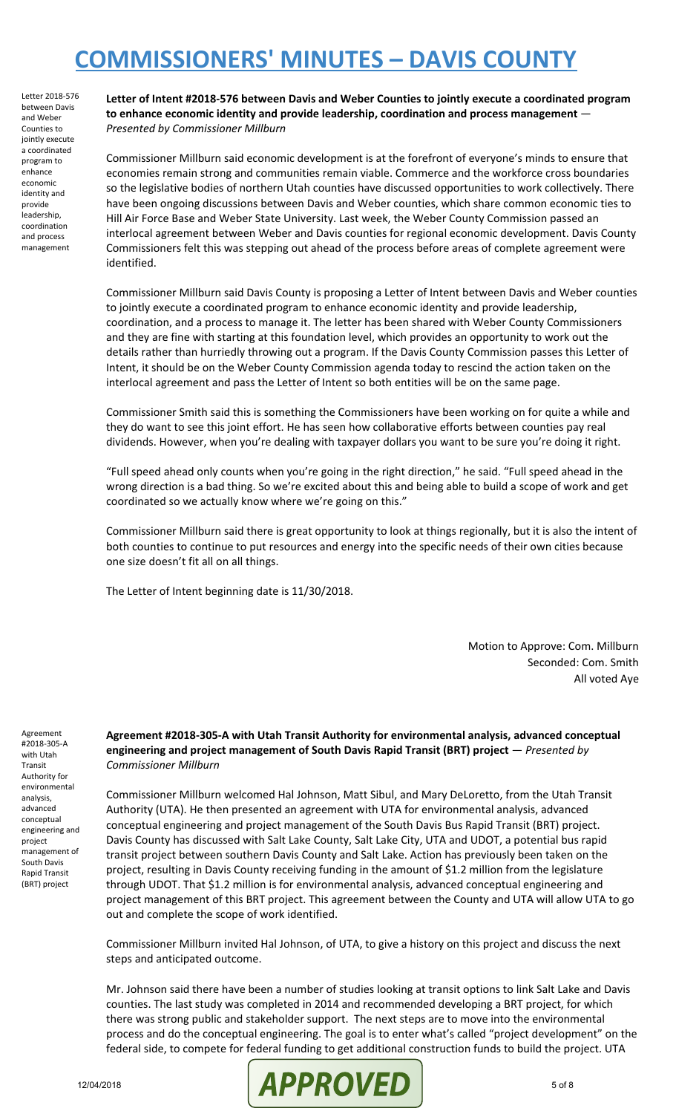Letter 2018-576 between Davis and Weber Counties to jointly execute a coordinated program to enhance economic identity and provide leadership, coordination and process management

**Letter of Intent #2018-576 between Davis and Weber Counties to jointly execute a coordinated program to enhance economic identity and provide leadership, coordination and process management** — *Presented by Commissioner Millburn*

Commissioner Millburn said economic development is at the forefront of everyone's minds to ensure that economies remain strong and communities remain viable. Commerce and the workforce cross boundaries so the legislative bodies of northern Utah counties have discussed opportunities to work collectively. There have been ongoing discussions between Davis and Weber counties, which share common economic ties to Hill Air Force Base and Weber State University. Last week, the Weber County Commission passed an interlocal agreement between Weber and Davis counties for regional economic development. Davis County Commissioners felt this was stepping out ahead of the process before areas of complete agreement were identified.

Commissioner Millburn said Davis County is proposing a Letter of Intent between Davis and Weber counties to jointly execute a coordinated program to enhance economic identity and provide leadership, coordination, and a process to manage it. The letter has been shared with Weber County Commissioners and they are fine with starting at this foundation level, which provides an opportunity to work out the details rather than hurriedly throwing out a program. If the Davis County Commission passes this Letter of Intent, it should be on the Weber County Commission agenda today to rescind the action taken on the interlocal agreement and pass the Letter of Intent so both entities will be on the same page.

Commissioner Smith said this is something the Commissioners have been working on for quite a while and they do want to see this joint effort. He has seen how collaborative efforts between counties pay real dividends. However, when you're dealing with taxpayer dollars you want to be sure you're doing it right.

"Full speed ahead only counts when you're going in the right direction," he said. "Full speed ahead in the wrong direction is a bad thing. So we're excited about this and being able to build a scope of work and get coordinated so we actually know where we're going on this."

Commissioner Millburn said there is great opportunity to look at things regionally, but it is also the intent of both counties to continue to put resources and energy into the specific needs of their own cities because one size doesn't fit all on all things.

The Letter of Intent beginning date is 11/30/2018.

Motion to Approve: Com. Millburn Seconded: Com. Smith All voted Aye

Agreement #2018-305-A with Utah Transit Authority for environmental analysis, advanced conceptual engineering and project management of South Davis Rapid Transit (BRT) project

**Agreement #2018-305-A with Utah Transit Authority for environmental analysis, advanced conceptual engineering and project management of South Davis Rapid Transit (BRT) project** — *Presented by Commissioner Millburn*

Commissioner Millburn welcomed Hal Johnson, Matt Sibul, and Mary DeLoretto, from the Utah Transit Authority (UTA). He then presented an agreement with UTA for environmental analysis, advanced conceptual engineering and project management of the South Davis Bus Rapid Transit (BRT) project. Davis County has discussed with Salt Lake County, Salt Lake City, UTA and UDOT, a potential bus rapid transit project between southern Davis County and Salt Lake. Action has previously been taken on the project, resulting in Davis County receiving funding in the amount of \$1.2 million from the legislature through UDOT. That \$1.2 million is for environmental analysis, advanced conceptual engineering and project management of this BRT project. This agreement between the County and UTA will allow UTA to go out and complete the scope of work identified.

Commissioner Millburn invited Hal Johnson, of UTA, to give a history on this project and discuss the next steps and anticipated outcome.

Mr. Johnson said there have been a number of studies looking at transit options to link Salt Lake and Davis counties. The last study was completed in 2014 and recommended developing a BRT project, for which there was strong public and stakeholder support. The next steps are to move into the environmental process and do the conceptual engineering. The goal is to enter what's called "project development" on the federal side, to compete for federal funding to get additional construction funds to build the project. UTA

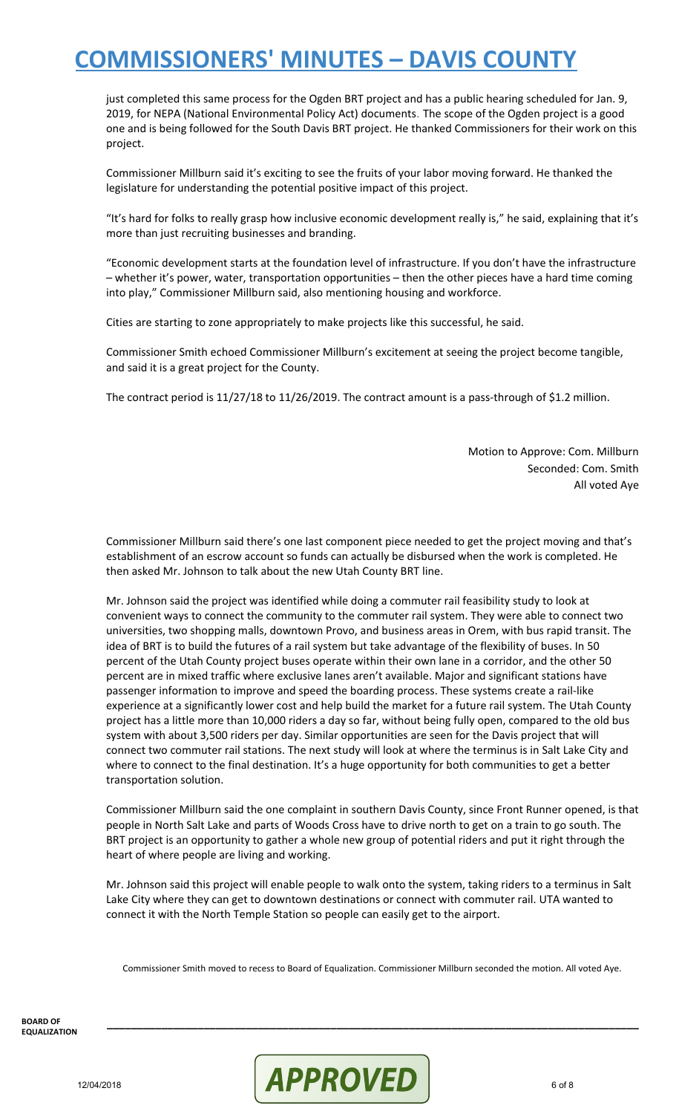just completed this same process for the Ogden BRT project and has a public hearing scheduled for Jan. 9, 2019, for NEPA (National Environmental Policy Act) documents. The scope of the Ogden project is a good one and is being followed for the South Davis BRT project. He thanked Commissioners for their work on this project.

Commissioner Millburn said it's exciting to see the fruits of your labor moving forward. He thanked the legislature for understanding the potential positive impact of this project.

"It's hard for folks to really grasp how inclusive economic development really is," he said, explaining that it's more than just recruiting businesses and branding.

"Economic development starts at the foundation level of infrastructure. If you don't have the infrastructure – whether it's power, water, transportation opportunities – then the other pieces have a hard time coming into play," Commissioner Millburn said, also mentioning housing and workforce.

Cities are starting to zone appropriately to make projects like this successful, he said.

Commissioner Smith echoed Commissioner Millburn's excitement at seeing the project become tangible, and said it is a great project for the County.

The contract period is 11/27/18 to 11/26/2019. The contract amount is a pass-through of \$1.2 million.

Motion to Approve: Com. Millburn Seconded: Com. Smith All voted Aye

Commissioner Millburn said there's one last component piece needed to get the project moving and that's establishment of an escrow account so funds can actually be disbursed when the work is completed. He then asked Mr. Johnson to talk about the new Utah County BRT line.

Mr. Johnson said the project was identified while doing a commuter rail feasibility study to look at convenient ways to connect the community to the commuter rail system. They were able to connect two universities, two shopping malls, downtown Provo, and business areas in Orem, with bus rapid transit. The idea of BRT is to build the futures of a rail system but take advantage of the flexibility of buses. In 50 percent of the Utah County project buses operate within their own lane in a corridor, and the other 50 percent are in mixed traffic where exclusive lanes aren't available. Major and significant stations have passenger information to improve and speed the boarding process. These systems create a rail-like experience at a significantly lower cost and help build the market for a future rail system. The Utah County project has a little more than 10,000 riders a day so far, without being fully open, compared to the old bus system with about 3,500 riders per day. Similar opportunities are seen for the Davis project that will connect two commuter rail stations. The next study will look at where the terminus is in Salt Lake City and where to connect to the final destination. It's a huge opportunity for both communities to get a better transportation solution.

Commissioner Millburn said the one complaint in southern Davis County, since Front Runner opened, is that people in North Salt Lake and parts of Woods Cross have to drive north to get on a train to go south. The BRT project is an opportunity to gather a whole new group of potential riders and put it right through the heart of where people are living and working.

Mr. Johnson said this project will enable people to walk onto the system, taking riders to a terminus in Salt Lake City where they can get to downtown destinations or connect with commuter rail. UTA wanted to connect it with the North Temple Station so people can easily get to the airport.

Commissioner Smith moved to recess to Board of Equalization. Commissioner Millburn seconded the motion. All voted Aye.

**\_\_\_\_\_\_\_\_\_\_\_\_\_\_\_\_\_\_\_\_\_\_\_\_\_\_\_\_\_\_\_\_\_\_\_\_\_\_\_\_\_\_\_\_\_\_\_\_\_\_\_\_\_\_\_\_\_\_\_\_\_\_\_\_\_\_\_\_\_\_\_\_\_\_\_\_\_\_\_\_\_\_\_\_\_\_\_\_**

**BOARD OF EQUALIZATION**

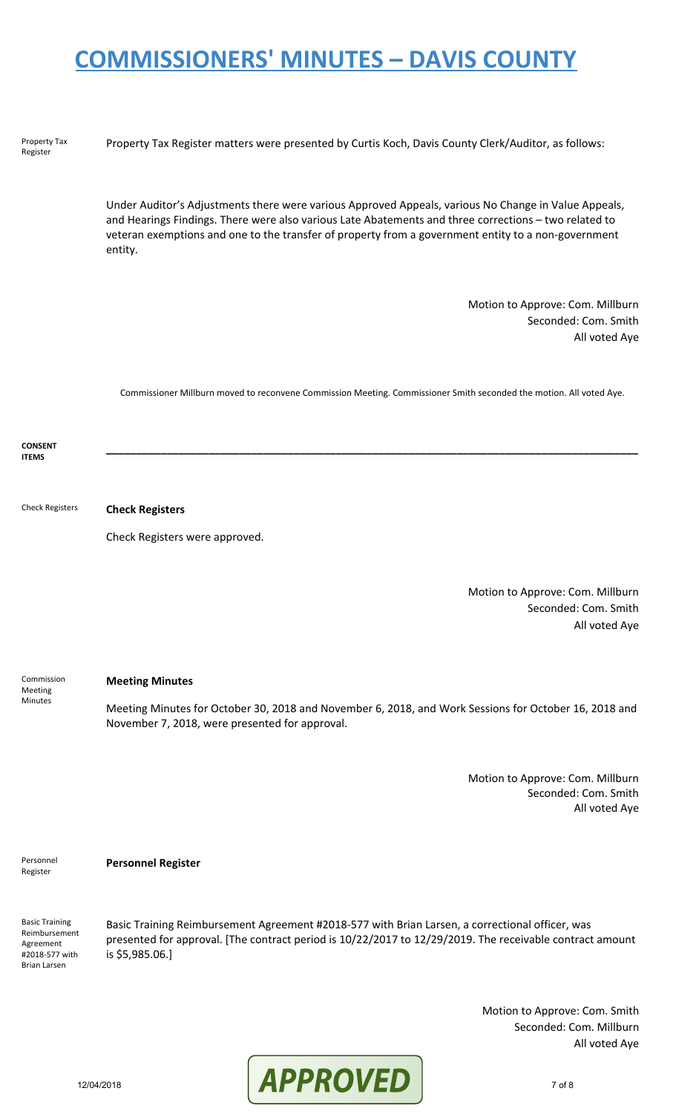| Property Tax<br>Register                                                                     | Property Tax Register matters were presented by Curtis Koch, Davis County Clerk/Auditor, as follows:                                                                                                                                                                                                                            |
|----------------------------------------------------------------------------------------------|---------------------------------------------------------------------------------------------------------------------------------------------------------------------------------------------------------------------------------------------------------------------------------------------------------------------------------|
|                                                                                              | Under Auditor's Adjustments there were various Approved Appeals, various No Change in Value Appeals,<br>and Hearings Findings. There were also various Late Abatements and three corrections - two related to<br>veteran exemptions and one to the transfer of property from a government entity to a non-government<br>entity. |
|                                                                                              | Motion to Approve: Com. Millburn<br>Seconded: Com. Smith<br>All voted Aye                                                                                                                                                                                                                                                       |
|                                                                                              | Commissioner Millburn moved to reconvene Commission Meeting. Commissioner Smith seconded the motion. All voted Aye.                                                                                                                                                                                                             |
| <b>CONSENT</b><br><b>ITEMS</b>                                                               |                                                                                                                                                                                                                                                                                                                                 |
| <b>Check Registers</b>                                                                       | <b>Check Registers</b>                                                                                                                                                                                                                                                                                                          |
|                                                                                              | Check Registers were approved.                                                                                                                                                                                                                                                                                                  |
|                                                                                              | Motion to Approve: Com. Millburn<br>Seconded: Com. Smith<br>All voted Aye                                                                                                                                                                                                                                                       |
| Commission<br>Meeting<br>Minutes                                                             | <b>Meeting Minutes</b>                                                                                                                                                                                                                                                                                                          |
|                                                                                              | Meeting Minutes for October 30, 2018 and November 6, 2018, and Work Sessions for October 16, 2018 and<br>November 7, 2018, were presented for approval.                                                                                                                                                                         |
|                                                                                              | Motion to Approve: Com. Millburn<br>Seconded: Com. Smith<br>All voted Aye                                                                                                                                                                                                                                                       |
| Personnel<br>Register                                                                        | <b>Personnel Register</b>                                                                                                                                                                                                                                                                                                       |
| <b>Basic Training</b><br>Reimbursement<br>Agreement<br>#2018-577 with<br><b>Brian Larsen</b> | Basic Training Reimbursement Agreement #2018-577 with Brian Larsen, a correctional officer, was<br>presented for approval. [The contract period is 10/22/2017 to 12/29/2019. The receivable contract amount<br>is \$5,985.06.]                                                                                                  |
|                                                                                              | Motion to Approve: Com. Smith<br>Seconded: Com. Millburn                                                                                                                                                                                                                                                                        |



All voted Aye